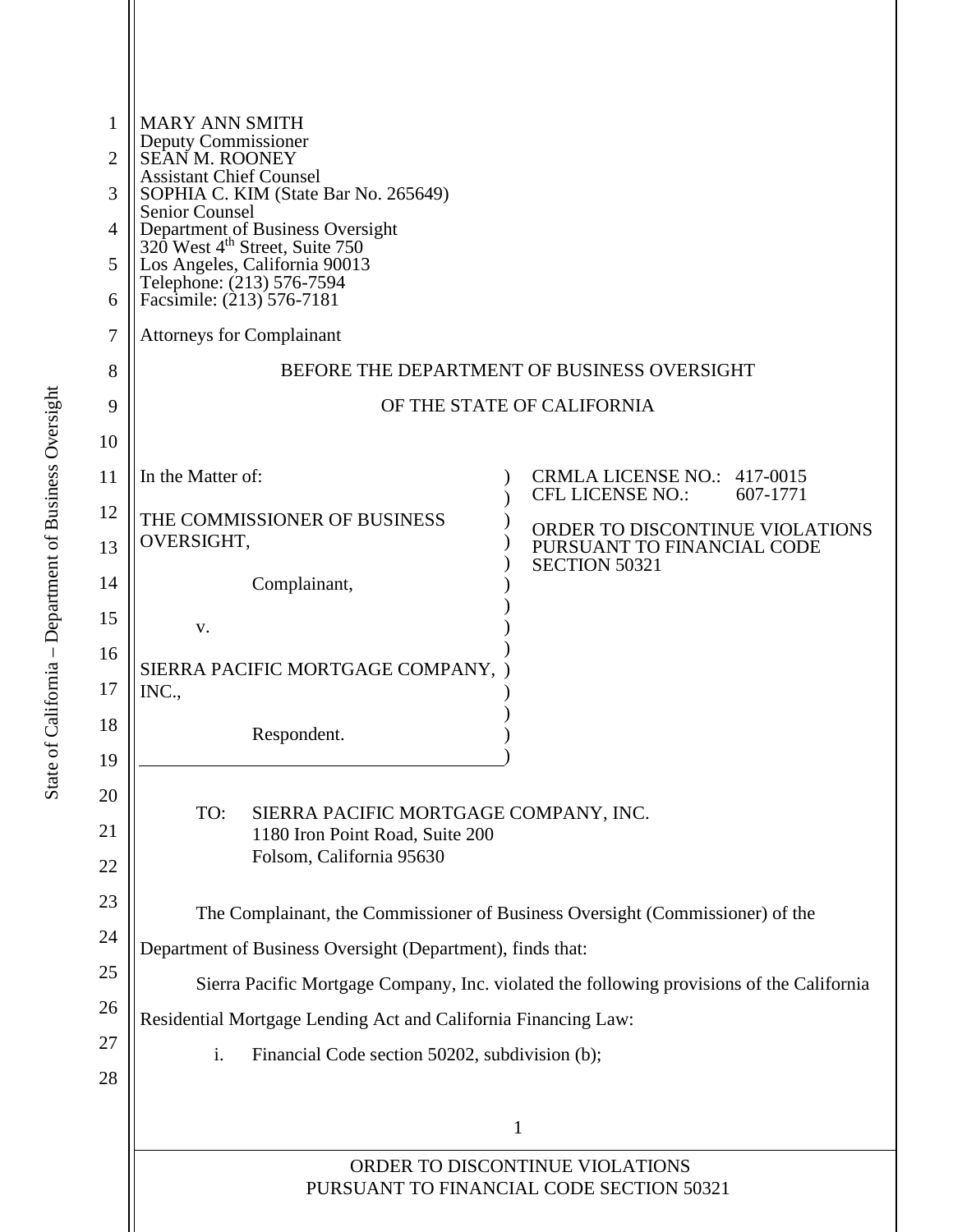| 1<br>2<br>3<br>4 | <b>MARY ANN SMITH</b><br>Deputy Commissioner<br>SEAN M. ROONEY<br><b>Assistant Chief Counsel</b><br>SOPHIA C. KIM (State Bar No. 265649)<br><b>Senior Counsel</b>                            |                                                               |  |  |
|------------------|----------------------------------------------------------------------------------------------------------------------------------------------------------------------------------------------|---------------------------------------------------------------|--|--|
| 5<br>6           | Department of Business Oversight<br>320 West 4 <sup>th</sup> Street, Suite 750<br>Los Angeles, California 90013<br>Telephone: (213) 576-7594<br>Facsimile: (213) 576-7181                    |                                                               |  |  |
| 7                | <b>Attorneys for Complainant</b>                                                                                                                                                             |                                                               |  |  |
| 8                | BEFORE THE DEPARTMENT OF BUSINESS OVERSIGHT                                                                                                                                                  |                                                               |  |  |
| 9                | OF THE STATE OF CALIFORNIA                                                                                                                                                                   |                                                               |  |  |
| 10               |                                                                                                                                                                                              |                                                               |  |  |
| 11               | In the Matter of:                                                                                                                                                                            | CRMLA LICENSE NO.: 417-0015<br>CFL LICENSE NO.:<br>607-1771   |  |  |
| 12<br>13         | THE COMMISSIONER OF BUSINESS<br>OVERSIGHT,                                                                                                                                                   | ORDER TO DISCONTINUE VIOLATIONS<br>PURSUANT TO FINANCIAL CODE |  |  |
| 14               | Complainant,                                                                                                                                                                                 | <b>SECTION 50321</b>                                          |  |  |
| 15               | V.                                                                                                                                                                                           |                                                               |  |  |
| 16<br>17         | SIERRA PACIFIC MORTGAGE COMPANY,<br>INC.,                                                                                                                                                    |                                                               |  |  |
| 18<br>19         | Respondent.                                                                                                                                                                                  |                                                               |  |  |
| 20<br>21<br>22   | TO:<br>SIERRA PACIFIC MORTGAGE COMPANY, INC.<br>1180 Iron Point Road, Suite 200<br>Folsom, California 95630<br>The Complainant, the Commissioner of Business Oversight (Commissioner) of the |                                                               |  |  |
| 23               |                                                                                                                                                                                              |                                                               |  |  |
| 24               | Department of Business Oversight (Department), finds that:                                                                                                                                   |                                                               |  |  |
| 25               | Sierra Pacific Mortgage Company, Inc. violated the following provisions of the California                                                                                                    |                                                               |  |  |
| 26               | Residential Mortgage Lending Act and California Financing Law:                                                                                                                               |                                                               |  |  |
| 27<br>28         | i.<br>Financial Code section 50202, subdivision (b);                                                                                                                                         |                                                               |  |  |
|                  | 1                                                                                                                                                                                            |                                                               |  |  |
|                  | ORDER TO DISCONTINUE VIOLATIONS<br>PURSUANT TO FINANCIAL CODE SECTION 50321                                                                                                                  |                                                               |  |  |
|                  |                                                                                                                                                                                              |                                                               |  |  |